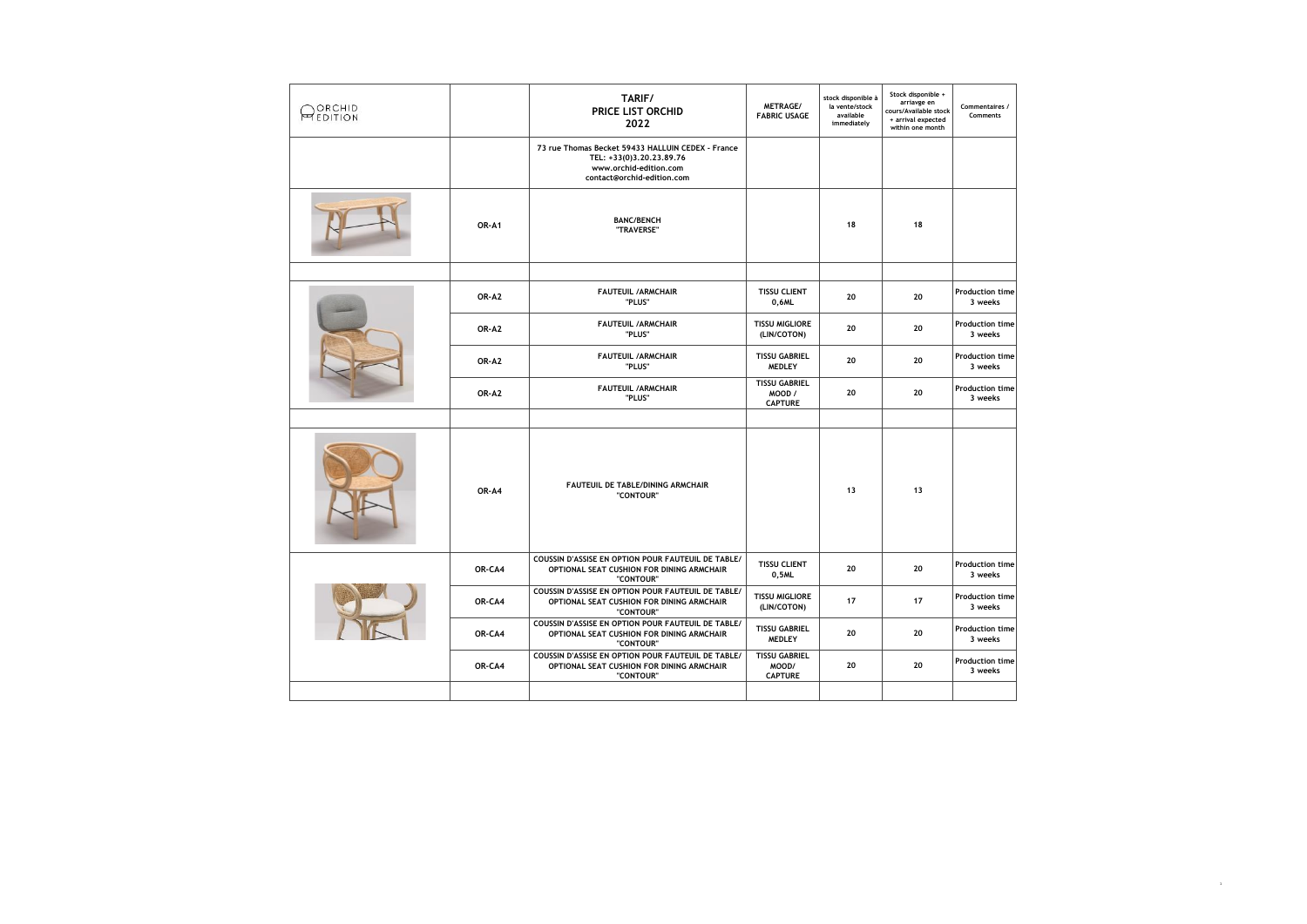| ORCHID<br><b>MEDITION</b> |        | TARIF/<br><b>PRICE LIST ORCHID</b><br>2022                                                                                            | METRAGE/<br><b>FABRIC USAGE</b>                  | stock disponible à<br>la vente/stock<br>available<br>immediately | Stock disponible +<br>arriavge en<br>cours/Available stock<br>+ arrival expected<br>within one month | Commentaires /<br>Comments        |
|---------------------------|--------|---------------------------------------------------------------------------------------------------------------------------------------|--------------------------------------------------|------------------------------------------------------------------|------------------------------------------------------------------------------------------------------|-----------------------------------|
|                           |        | 73 rue Thomas Becket 59433 HALLUIN CEDEX - France<br>TEL: +33(0)3,20,23,89,76<br>www.orchid-edition.com<br>contact@orchid-edition.com |                                                  |                                                                  |                                                                                                      |                                   |
|                           | OR-A1  | <b>BANC/BENCH</b><br>"TRAVERSE"                                                                                                       |                                                  | 18                                                               | 18                                                                                                   |                                   |
|                           |        |                                                                                                                                       |                                                  |                                                                  |                                                                                                      |                                   |
|                           | OR-A2  | <b>FAUTEUIL /ARMCHAIR</b><br>"PLUS"                                                                                                   | <b>TISSU CLIENT</b><br>0,6ML                     | 20                                                               | 20                                                                                                   | <b>Production time</b><br>3 weeks |
|                           | OR-A2  | <b>FAUTEUIL /ARMCHAIR</b><br>"PLUS"                                                                                                   | <b>TISSU MIGLIORE</b><br>(LIN/COTON)             | 20                                                               | 20                                                                                                   | <b>Production time</b><br>3 weeks |
|                           | OR-A2  | <b>FAUTEUIL /ARMCHAIR</b><br>"PLUS"                                                                                                   | <b>TISSU GABRIEL</b><br><b>MEDLEY</b>            | 20                                                               | 20                                                                                                   | <b>Production time</b><br>3 weeks |
|                           | OR-A2  | <b>FAUTEUIL /ARMCHAIR</b><br>"PLUS"                                                                                                   | <b>TISSU GABRIEL</b><br>MOOD /<br><b>CAPTURE</b> | 20                                                               | 20                                                                                                   | <b>Production time</b><br>3 weeks |
|                           |        |                                                                                                                                       |                                                  |                                                                  |                                                                                                      |                                   |
|                           | OR-A4  | FAUTEUIL DE TABLE/DINING ARMCHAIR<br>"CONTOUR"                                                                                        |                                                  | 13                                                               | 13                                                                                                   |                                   |
|                           | OR-CA4 | COUSSIN D'ASSISE EN OPTION POUR FAUTEUIL DE TABLE/<br>OPTIONAL SEAT CUSHION FOR DINING ARMCHAIR<br>"CONTOUR"                          | <b>TISSU CLIENT</b><br>0,5ML                     | 20                                                               | 20                                                                                                   | <b>Production time</b><br>3 weeks |
|                           | OR-CA4 | COUSSIN D'ASSISE EN OPTION POUR FAUTEUIL DE TABLE/<br>OPTIONAL SEAT CUSHION FOR DINING ARMCHAIR<br>"CONTOUR"                          | <b>TISSU MIGLIORE</b><br>(LIN/COTON)             | 17                                                               | 17                                                                                                   | <b>Production time</b><br>3 weeks |
|                           | OR-CA4 | COUSSIN D'ASSISE EN OPTION POUR FAUTEUIL DE TABLE/<br>OPTIONAL SEAT CUSHION FOR DINING ARMCHAIR<br>"CONTOUR"                          | <b>TISSU GABRIEL</b><br><b>MEDLEY</b>            | 20                                                               | 20                                                                                                   | <b>Production time</b><br>3 weeks |
|                           | OR-CA4 | COUSSIN D'ASSISE EN OPTION POUR FAUTEUIL DE TABLE/<br>OPTIONAL SEAT CUSHION FOR DINING ARMCHAIR<br>"CONTOUR"                          | <b>TISSU GABRIEL</b><br>MOOD/<br><b>CAPTURE</b>  | 20                                                               | 20                                                                                                   | <b>Production time</b><br>3 weeks |
|                           |        |                                                                                                                                       |                                                  |                                                                  |                                                                                                      |                                   |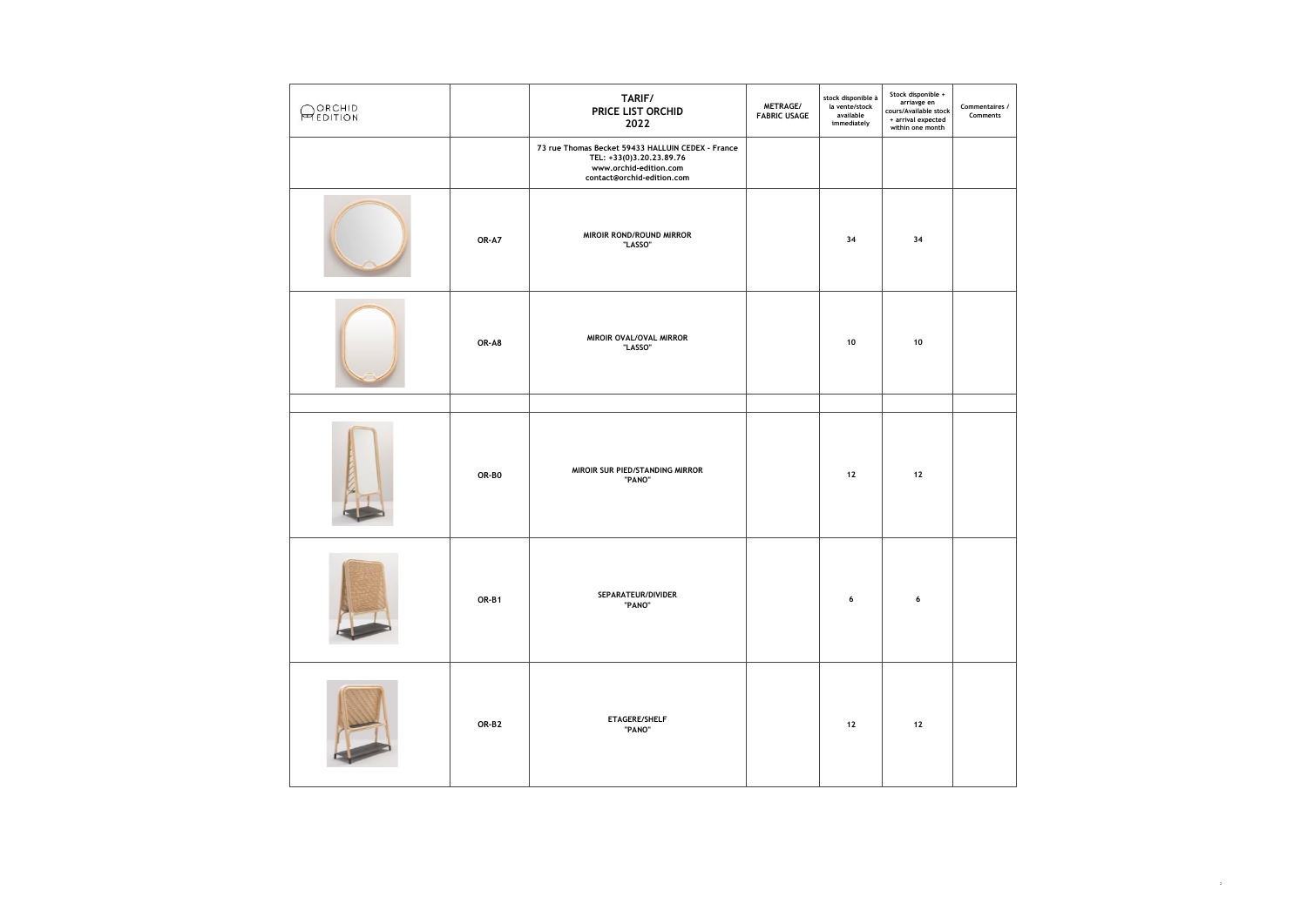| <b>ORCHID</b><br><b>PEDITION</b> |       | TARIF/<br>PRICE LIST ORCHID<br>2022                                                                                                   | METRAGE/<br><b>FABRIC USAGE</b> | stock disponible à<br>la vente/stock<br>available<br>immediately | Stock disponible +<br>arriavge en<br>cours/Available stock<br>+ arrival expected<br>within one month | Commentaires /<br>Comments |
|----------------------------------|-------|---------------------------------------------------------------------------------------------------------------------------------------|---------------------------------|------------------------------------------------------------------|------------------------------------------------------------------------------------------------------|----------------------------|
|                                  |       | 73 rue Thomas Becket 59433 HALLUIN CEDEX - France<br>TEL: +33(0)3.20.23.89.76<br>www.orchid-edition.com<br>contact@orchid-edition.com |                                 |                                                                  |                                                                                                      |                            |
|                                  | OR-A7 | MIROIR ROND/ROUND MIRROR<br>"LASSO"                                                                                                   |                                 | 34                                                               | 34                                                                                                   |                            |
|                                  | OR-A8 | MIROIR OVAL/OVAL MIRROR<br>"LASSO"                                                                                                    |                                 | 10                                                               | 10                                                                                                   |                            |
|                                  |       |                                                                                                                                       |                                 |                                                                  |                                                                                                      |                            |
|                                  | OR-BO | MIROIR SUR PIED/STANDING MIRROR<br>"PANO"                                                                                             |                                 | 12                                                               | $12\,$                                                                                               |                            |
|                                  | OR-B1 | SEPARATEUR/DIVIDER<br>"PANO"                                                                                                          |                                 | 6                                                                | 6                                                                                                    |                            |
|                                  | OR-B2 | ETAGERE/SHELF<br>"PANO"                                                                                                               |                                 | $12$                                                             | $12\,$                                                                                               |                            |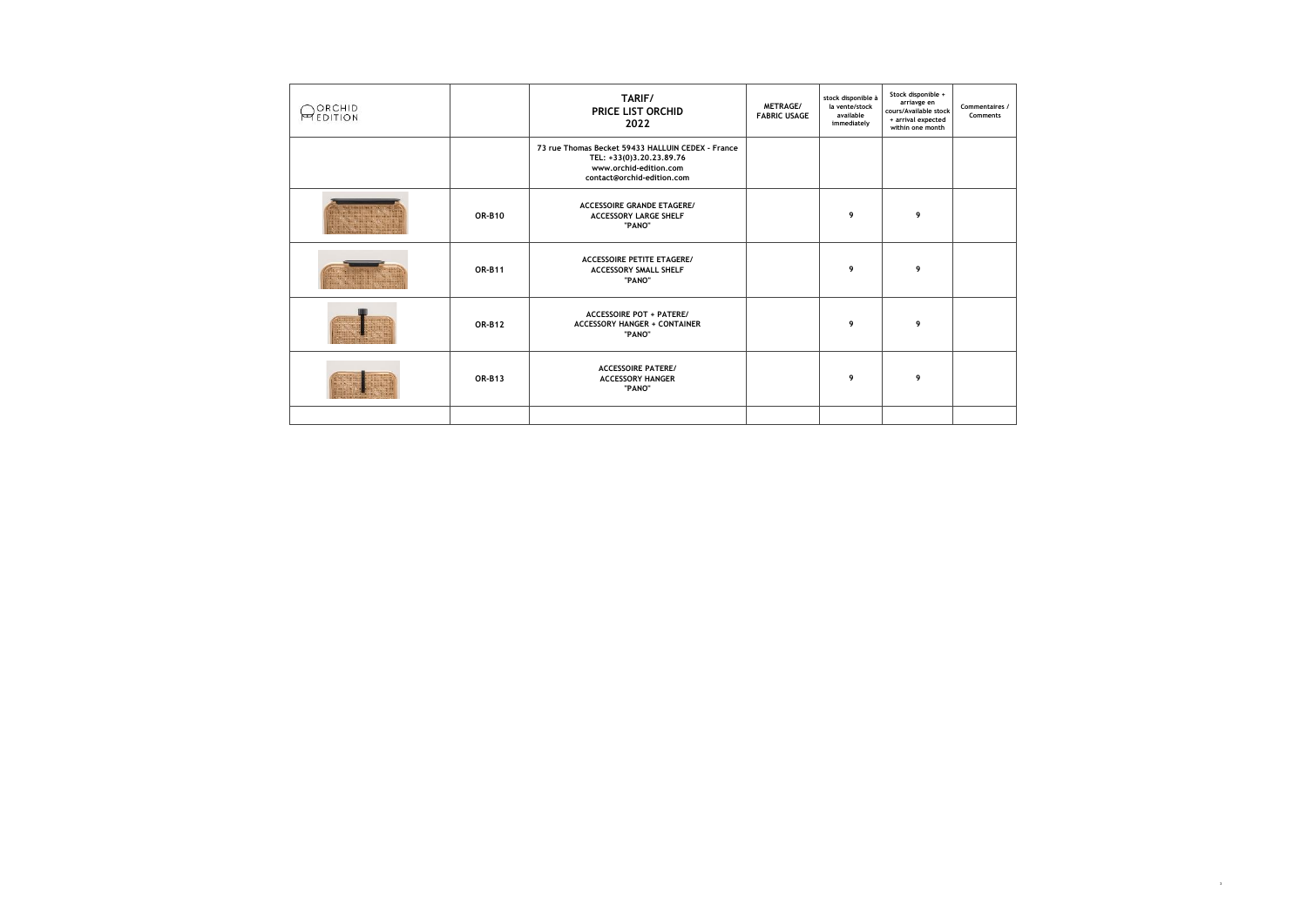| ORCHID<br><b>MEDITION</b> |               | TARIF/<br><b>PRICE LIST ORCHID</b><br>2022                                                                                            | METRAGE/<br><b>FABRIC USAGE</b> | stock disponible à<br>la vente/stock<br>available<br>immediately | Stock disponible +<br>arriavge en<br>cours/Available stock<br>+ arrival expected<br>within one month | Commentaires /<br>Comments |
|---------------------------|---------------|---------------------------------------------------------------------------------------------------------------------------------------|---------------------------------|------------------------------------------------------------------|------------------------------------------------------------------------------------------------------|----------------------------|
|                           |               | 73 rue Thomas Becket 59433 HALLUIN CEDEX - France<br>TEL: +33(0)3,20,23,89,76<br>www.orchid-edition.com<br>contact@orchid-edition.com |                                 |                                                                  |                                                                                                      |                            |
|                           | <b>OR-B10</b> | <b>ACCESSOIRE GRANDE ETAGERE/</b><br><b>ACCESSORY LARGE SHELF</b><br>"PANO"                                                           |                                 | 9                                                                | 9                                                                                                    |                            |
|                           | <b>OR-B11</b> | <b>ACCESSOIRE PETITE ETAGERE/</b><br><b>ACCESSORY SMALL SHELF</b><br>"PANO"                                                           |                                 | 9                                                                | 9                                                                                                    |                            |
|                           | <b>OR-B12</b> | <b>ACCESSOIRE POT + PATERE/</b><br><b>ACCESSORY HANGER + CONTAINER</b><br>"PANO"                                                      |                                 | 9                                                                | 9                                                                                                    |                            |
|                           | <b>OR-B13</b> | <b>ACCESSOIRE PATERE/</b><br><b>ACCESSORY HANGER</b><br>"PANO"                                                                        |                                 | 9                                                                | 9                                                                                                    |                            |
|                           |               |                                                                                                                                       |                                 |                                                                  |                                                                                                      |                            |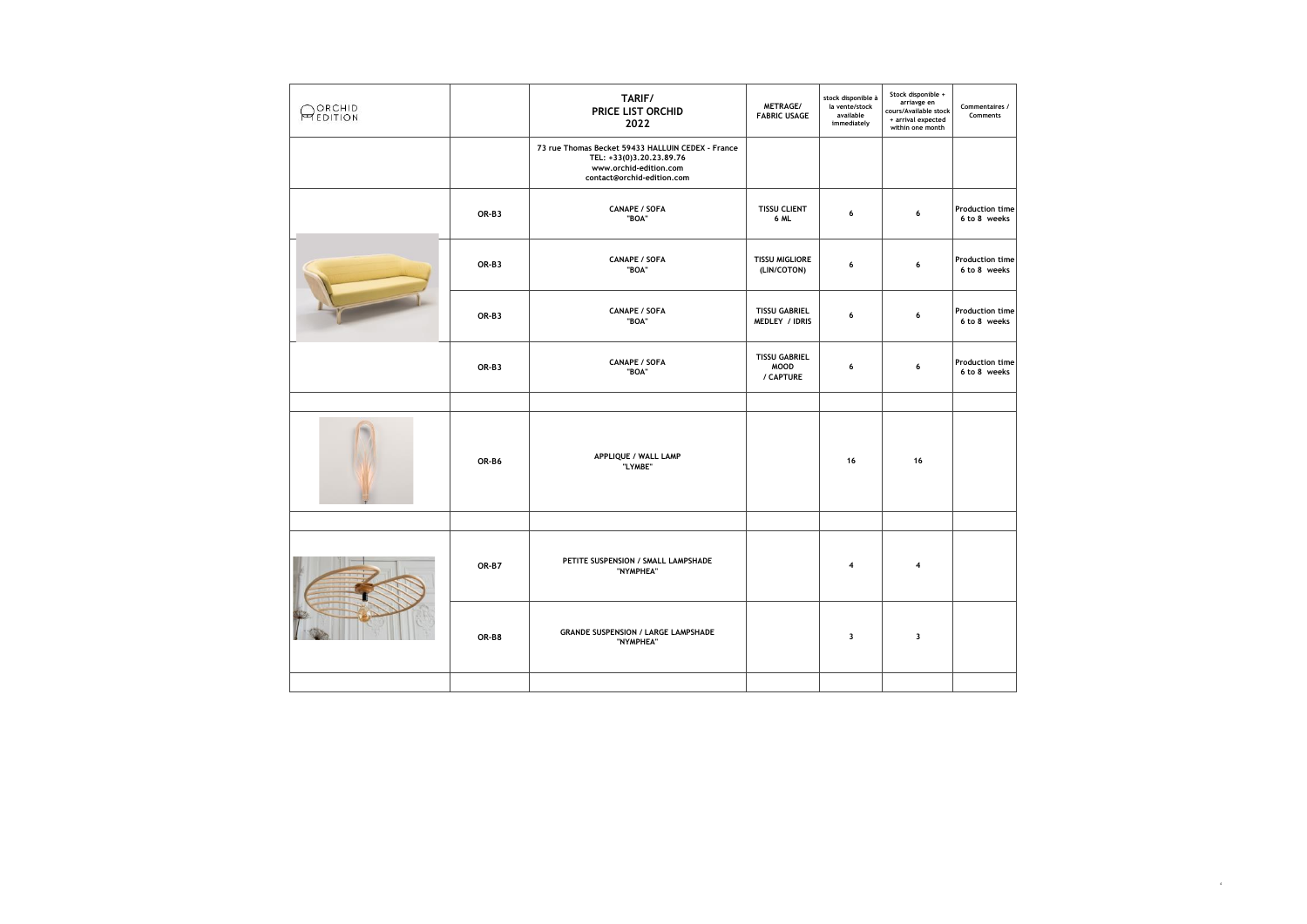| ORCHID<br>PEDITION |       | TARIF/<br>PRICE LIST ORCHID<br>2022                                                                                                   | METRAGE/<br><b>FABRIC USAGE</b>                  | stock disponible à<br>la vente/stock<br>available<br>immediately | Stock disponible +<br>arriavge en<br>cours/Available stock<br>+ arrival expected<br>within one month | Commentaires /<br>Comments             |
|--------------------|-------|---------------------------------------------------------------------------------------------------------------------------------------|--------------------------------------------------|------------------------------------------------------------------|------------------------------------------------------------------------------------------------------|----------------------------------------|
|                    |       | 73 rue Thomas Becket 59433 HALLUIN CEDEX - France<br>TEL: +33(0)3.20.23.89.76<br>www.orchid-edition.com<br>contact@orchid-edition.com |                                                  |                                                                  |                                                                                                      |                                        |
|                    | OR-B3 | <b>CANAPE / SOFA</b><br>"BOA"                                                                                                         | <b>TISSU CLIENT</b><br>6 ML                      | 6                                                                | 6                                                                                                    | <b>Production time</b><br>6 to 8 weeks |
|                    | OR-B3 | <b>CANAPE / SOFA</b><br>"BOA"                                                                                                         | <b>TISSU MIGLIORE</b><br>(LIN/COTON)             | 6                                                                | 6                                                                                                    | <b>Production time</b><br>6 to 8 weeks |
|                    | OR-B3 | <b>CANAPE / SOFA</b><br>"BOA"                                                                                                         | <b>TISSU GABRIEL</b><br>MEDLEY / IDRIS           | 6                                                                | 6                                                                                                    | <b>Production time</b><br>6 to 8 weeks |
|                    | OR-B3 | <b>CANAPE / SOFA</b><br>"BOA"                                                                                                         | <b>TISSU GABRIEL</b><br><b>MOOD</b><br>/ CAPTURE | 6                                                                | 6                                                                                                    | <b>Production time</b><br>6 to 8 weeks |
|                    | OR-B6 | APPLIQUE / WALL LAMP<br>"LYMBE"                                                                                                       |                                                  | 16                                                               | 16                                                                                                   |                                        |
|                    |       |                                                                                                                                       |                                                  |                                                                  |                                                                                                      |                                        |
|                    | OR-B7 | PETITE SUSPENSION / SMALL LAMPSHADE<br>"NYMPHEA"                                                                                      |                                                  | 4                                                                | $\overline{4}$                                                                                       |                                        |
|                    | OR-B8 | <b>GRANDE SUSPENSION / LARGE LAMPSHADE</b><br>"NYMPHEA"                                                                               |                                                  | $\overline{\mathbf{3}}$                                          | $\overline{\mathbf{3}}$                                                                              |                                        |
|                    |       |                                                                                                                                       |                                                  |                                                                  |                                                                                                      |                                        |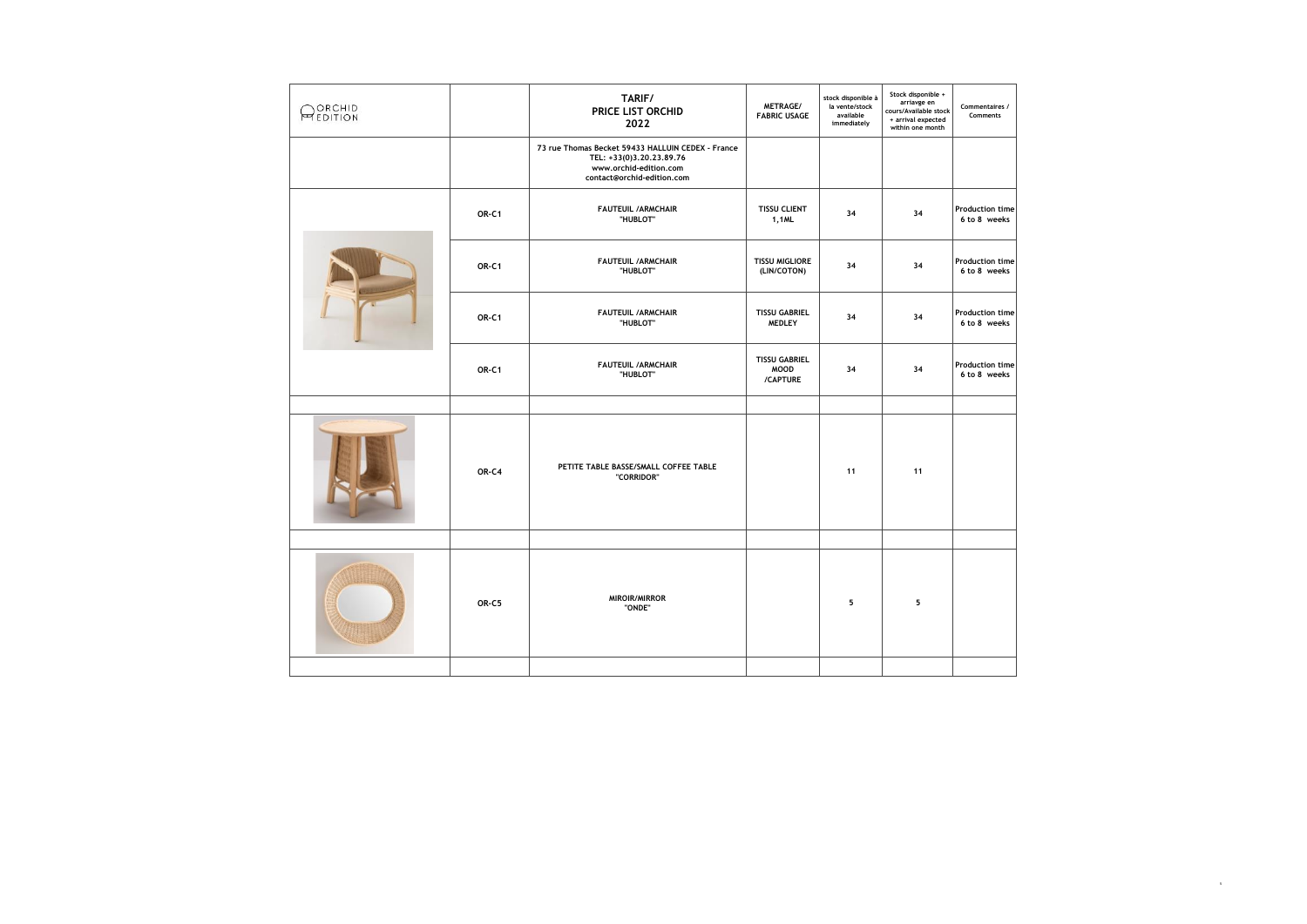| ORCHID<br>PEDITION |       | TARIF/<br>PRICE LIST ORCHID<br>2022                                                                                                   | METRAGE/<br><b>FABRIC USAGE</b>                 | stock disponible à<br>la vente/stock<br>available<br>immediately | Stock disponible +<br>arriavge en<br>cours/Available stock<br>+ arrival expected<br>within one month | Commentaires /<br>Comments             |
|--------------------|-------|---------------------------------------------------------------------------------------------------------------------------------------|-------------------------------------------------|------------------------------------------------------------------|------------------------------------------------------------------------------------------------------|----------------------------------------|
|                    |       | 73 rue Thomas Becket 59433 HALLUIN CEDEX - France<br>TEL: +33(0)3.20.23.89.76<br>www.orchid-edition.com<br>contact@orchid-edition.com |                                                 |                                                                  |                                                                                                      |                                        |
|                    | OR-C1 | <b>FAUTEUIL /ARMCHAIR</b><br>"HUBLOT"                                                                                                 | <b>TISSU CLIENT</b><br>1,1ML                    | 34                                                               | 34                                                                                                   | <b>Production time</b><br>6 to 8 weeks |
|                    | OR-C1 | <b>FAUTEUIL /ARMCHAIR</b><br>"HUBLOT"                                                                                                 | <b>TISSU MIGLIORE</b><br>(LIN/COTON)            | 34                                                               | 34                                                                                                   | <b>Production time</b><br>6 to 8 weeks |
|                    | OR-C1 | <b>FAUTEUIL /ARMCHAIR</b><br>"HUBLOT"                                                                                                 | <b>TISSU GABRIEL</b><br><b>MEDLEY</b>           | 34                                                               | 34                                                                                                   | <b>Production time</b><br>6 to 8 weeks |
|                    | OR-C1 | <b>FAUTEUIL /ARMCHAIR</b><br>"HUBLOT"                                                                                                 | <b>TISSU GABRIEL</b><br><b>MOOD</b><br>/CAPTURE | 34                                                               | 34                                                                                                   | <b>Production time</b><br>6 to 8 weeks |
|                    |       |                                                                                                                                       |                                                 |                                                                  |                                                                                                      |                                        |
|                    | OR-C4 | PETITE TABLE BASSE/SMALL COFFEE TABLE<br>"CORRIDOR"                                                                                   |                                                 | 11                                                               | 11                                                                                                   |                                        |
|                    |       |                                                                                                                                       |                                                 |                                                                  |                                                                                                      |                                        |
|                    | OR-C5 | MIROIR/MIRROR<br>"ONDE"                                                                                                               |                                                 | 5                                                                | 5                                                                                                    |                                        |
|                    |       |                                                                                                                                       |                                                 |                                                                  |                                                                                                      |                                        |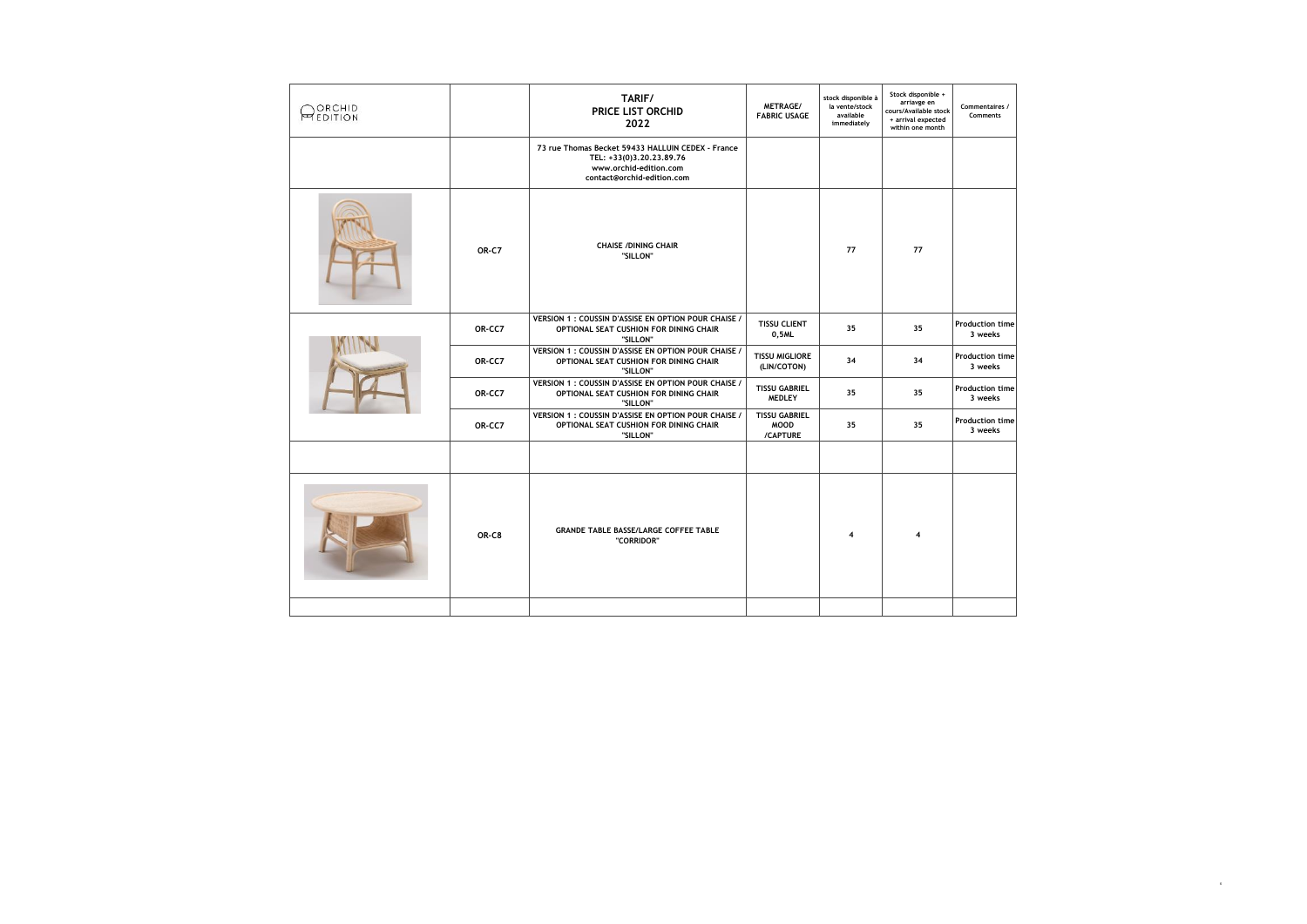| ORCHID<br><b>MEDITION</b> |        | TARIF/<br>PRICE LIST ORCHID<br>2022                                                                                                   | METRAGE/<br><b>FABRIC USAGE</b>                 | stock disponible à<br>la vente/stock<br>available<br>immediately | Stock disponible +<br>arriavge en<br>cours/Available stock<br>+ arrival expected<br>within one month | Commentaires /<br>Comments        |
|---------------------------|--------|---------------------------------------------------------------------------------------------------------------------------------------|-------------------------------------------------|------------------------------------------------------------------|------------------------------------------------------------------------------------------------------|-----------------------------------|
|                           |        | 73 rue Thomas Becket 59433 HALLUIN CEDEX - France<br>TEL: +33(0)3,20,23,89,76<br>www.orchid-edition.com<br>contact@orchid-edition.com |                                                 |                                                                  |                                                                                                      |                                   |
|                           | OR-C7  | <b>CHAISE /DINING CHAIR</b><br>"SILLON"                                                                                               |                                                 | 77                                                               | 77                                                                                                   |                                   |
|                           | OR-CC7 | VERSION 1 : COUSSIN D'ASSISE EN OPTION POUR CHAISE /<br>OPTIONAL SEAT CUSHION FOR DINING CHAIR<br>"SILLON"                            | <b>TISSU CLIENT</b><br>0,5ML                    | 35                                                               | 35                                                                                                   | <b>Production time</b><br>3 weeks |
|                           | OR-CC7 | VERSION 1 : COUSSIN D'ASSISE EN OPTION POUR CHAISE /<br>OPTIONAL SEAT CUSHION FOR DINING CHAIR<br>"SILLON"                            | <b>TISSU MIGLIORE</b><br>(LIN/COTON)            | 34                                                               | 34                                                                                                   | Production time<br>3 weeks        |
|                           | OR-CC7 | VERSION 1 : COUSSIN D'ASSISE EN OPTION POUR CHAISE /<br>OPTIONAL SEAT CUSHION FOR DINING CHAIR<br>"SILLON"                            | <b>TISSU GABRIEL</b><br><b>MEDLEY</b>           | 35                                                               | 35                                                                                                   | <b>Production time</b><br>3 weeks |
|                           | OR-CC7 | VERSION 1 : COUSSIN D'ASSISE EN OPTION POUR CHAISE /<br>OPTIONAL SEAT CUSHION FOR DINING CHAIR<br>"SILLON"                            | <b>TISSU GABRIEL</b><br><b>MOOD</b><br>/CAPTURE | 35                                                               | 35                                                                                                   | <b>Production time</b><br>3 weeks |
|                           |        |                                                                                                                                       |                                                 |                                                                  |                                                                                                      |                                   |
|                           | OR-C8  | <b>GRANDE TABLE BASSE/LARGE COFFEE TABLE</b><br>"CORRIDOR"                                                                            |                                                 | 4                                                                | 4                                                                                                    |                                   |
|                           |        |                                                                                                                                       |                                                 |                                                                  |                                                                                                      |                                   |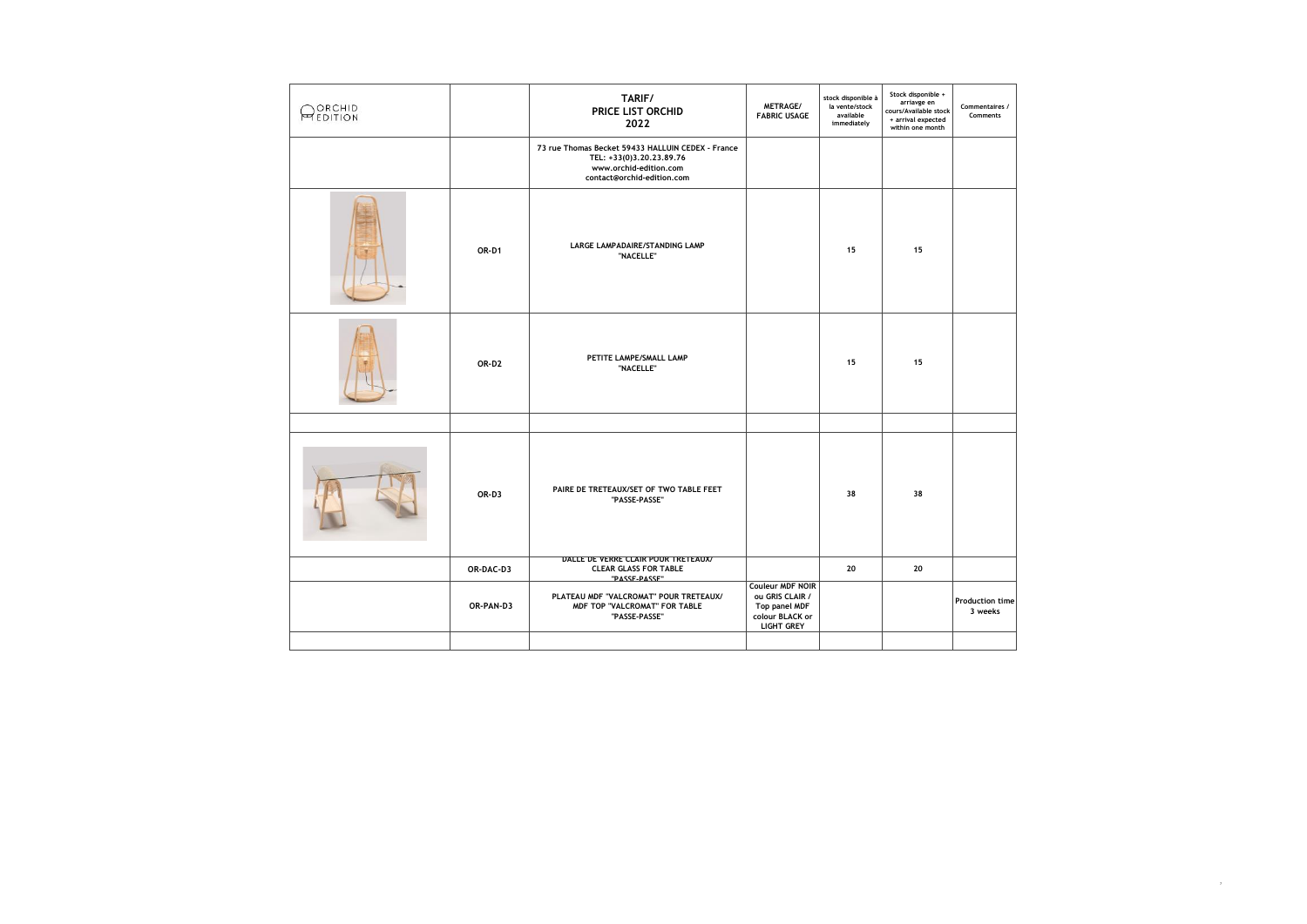| ORCHID<br><b>MEDITION</b> |           | TARIF/<br>PRICE LIST ORCHID<br>2022                                                                                                   | METRAGE/<br><b>FABRIC USAGE</b>                                                              | stock disponible à<br>la vente/stock<br>available<br>immediately | Stock disponible +<br>arriavge en<br>cours/Available stock<br>+ arrival expected<br>within one month | Commentaires /<br>Comments        |
|---------------------------|-----------|---------------------------------------------------------------------------------------------------------------------------------------|----------------------------------------------------------------------------------------------|------------------------------------------------------------------|------------------------------------------------------------------------------------------------------|-----------------------------------|
|                           |           | 73 rue Thomas Becket 59433 HALLUIN CEDEX - France<br>TEL: +33(0)3.20.23.89.76<br>www.orchid-edition.com<br>contact@orchid-edition.com |                                                                                              |                                                                  |                                                                                                      |                                   |
|                           | OR-D1     | LARGE LAMPADAIRE/STANDING LAMP<br>"NACELLE"                                                                                           |                                                                                              | 15                                                               | 15                                                                                                   |                                   |
|                           | OR-D2     | PETITE LAMPE/SMALL LAMP<br>"NACELLE"                                                                                                  |                                                                                              | 15                                                               | 15                                                                                                   |                                   |
|                           |           |                                                                                                                                       |                                                                                              |                                                                  |                                                                                                      |                                   |
|                           | OR-D3     | PAIRE DE TRETEAUX/SET OF TWO TABLE FEET<br>"PASSE-PASSE"                                                                              |                                                                                              | 38                                                               | 38                                                                                                   |                                   |
|                           | OR-DAC-D3 | DALLE DE VERRE CLAIR POUR TRETEAUX/<br><b>CLEAR GLASS FOR TABLE</b>                                                                   |                                                                                              | 20                                                               | 20                                                                                                   |                                   |
|                           | OR-PAN-D3 | "PASSE_PASSE"<br>PLATEAU MDF "VALCROMAT" POUR TRETEAUX/<br>MDF TOP "VALCROMAT" FOR TABLE<br>"PASSE-PASSE"                             | Couleur MDF NOIR<br>ou GRIS CLAIR /<br>Top panel MDF<br>colour BLACK or<br><b>LIGHT GREY</b> |                                                                  |                                                                                                      | <b>Production time</b><br>3 weeks |
|                           |           |                                                                                                                                       |                                                                                              |                                                                  |                                                                                                      |                                   |